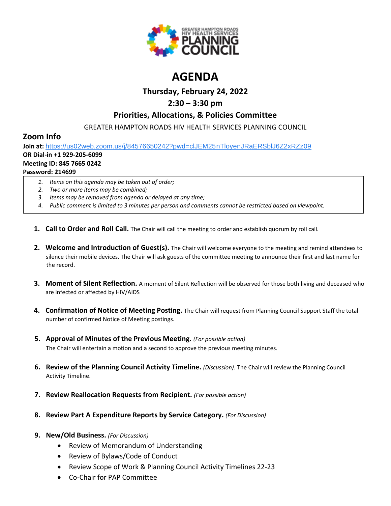

# **AGENDA**

### **Thursday, February 24, 2022**

## **2:30 – 3:30 pm**

### **Priorities, Allocations, & Policies Committee**

GREATER HAMPTON ROADS HIV HEALTH SERVICES PLANNING COUNCIL

### **Zoom Info**

**Join at:** [https://us02web.zoom.us/j/84576650242?pwd=clJEM25nTloyenJRaERSblJ6Z2xRZz09](https://www.google.com/url?q=https://us02web.zoom.us/j/84576650242?pwd%3DclJEM25nTloyenJRaERSblJ6Z2xRZz09&sa=D&source=calendar&ust=1616595038982000&usg=AOvVaw3sK6cNtpF8kGuryyzK0Ew9)

### **OR Dial-in +1 929-205-6099**

#### **Meeting ID: 845 7665 0242**

#### **Password: 214699**

- *1. Items on this agenda may be taken out of order;*
- *2. Two or more items may be combined;*
- *3. Items may be removed from agenda or delayed at any time;*
- *4. Public comment is limited to 3 minutes per person and comments cannot be restricted based on viewpoint.*
- **1. Call to Order and Roll Call.** The Chair will call the meeting to order and establish quorum by roll call.
- **2. Welcome and Introduction of Guest(s).** The Chair will welcome everyone to the meeting and remind attendees to silence their mobile devices. The Chair will ask guests of the committee meeting to announce their first and last name for the record.
- **3. Moment of Silent Reflection.** A moment of Silent Reflection will be observed for those both living and deceased who are infected or affected by HIV/AIDS
- **4. Confirmation of Notice of Meeting Posting.** The Chair will request from Planning Council Support Staff the total number of confirmed Notice of Meeting postings.
- **5. Approval of Minutes of the Previous Meeting.** *(For possible action)* The Chair will entertain a motion and a second to approve the previous meeting minutes.
- **6. Review of the Planning Council Activity Timeline.** *(Discussion).* The Chair will review the Planning Council Activity Timeline.
- **7. Review Reallocation Requests from Recipient.** *(For possible action)*
- **8. Review Part A Expenditure Reports by Service Category.** *(For Discussion)*
- **9. New/Old Business.** *(For Discussion)*
	- Review of Memorandum of Understanding
	- Review of Bylaws/Code of Conduct
	- Review Scope of Work & Planning Council Activity Timelines 22-23
	- Co-Chair for PAP Committee